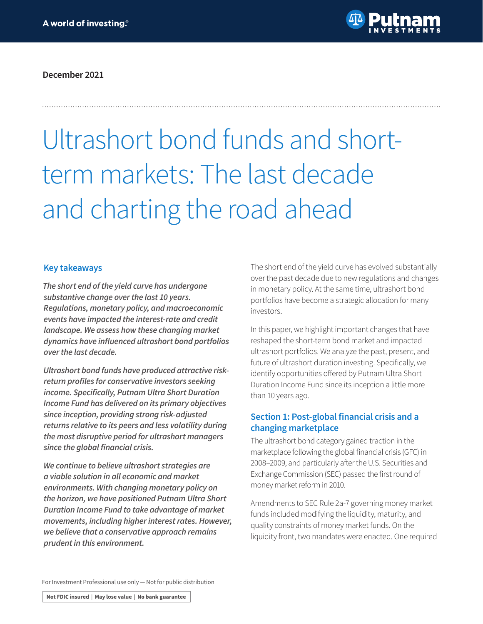

**December 2021**

# Ultrashort bond funds and shortterm markets: The last decade and charting the road ahead

### **Key takeaways**

*The short end of the yield curve has undergone substantive change over the last 10 years. Regulations, monetary policy, and macroeconomic events have impacted the interest-rate and credit landscape. We assess how these changing market*  **dynamics have influenced ultrashort bond portfolios**  *over the last decade.*

*Ultrashort bond funds have produced attractive risk***return profiles for conservative investors seeking income. Specifically, Putnam Ultra Short Duration**  *Income Fund has delivered on its primary objectives since inception, providing strong risk-adjusted returns relative to its peers and less volatility during the most disruptive period for ultrashort managers*  **since the global financial crisis.**

*We continue to believe ultrashort strategies are a viable solution in all economic and market environments. With changing monetary policy on*  **the horizon, we have positioned Putnam Ultra Short Duration Income Fund to take advantage of market**  *movements, including higher interest rates. However, we believe that a conservative approach remains prudent in this environment.*

The short end of the yield curve has evolved substantially over the past decade due to new regulations and changes in monetary policy. At the same time, ultrashort bond portfolios have become a strategic allocation for many investors.

In this paper, we highlight important changes that have reshaped the short-term bond market and impacted ultrashort portfolios. We analyze the past, present, and future of ultrashort duration investing. Specifically, we identify opportunities offered by Putnam Ultra Short Duration Income Fund since its inception a little more than 10 years ago.

### **Section 1: Post-global financial crisis and a changing marketplace**

The ultrashort bond category gained traction in the marketplace following the global financial crisis (GFC) in 2008–2009, and particularly after the U.S. Securities and Exchange Commission (SEC) passed the first round of money market reform in 2010.

Amendments to SEC Rule 2a-7 governing money market funds included modifying the liquidity, maturity, and quality constraints of money market funds. On the liquidity front, two mandates were enacted. One required

For Investment Professional use only — Not for public distribution

Not FDIC insured | May lose value | No bank guarantee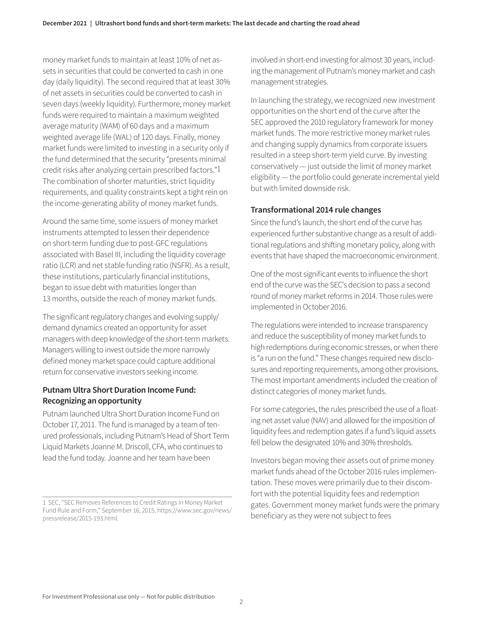money market funds to maintain at least 10% of net assets in securities that could be converted to cash in one day (daily liquidity). The second required that at least 30% of net assets in securities could be converted to cash in seven days (weekly liquidity). Furthermore, money market funds were required to maintain a maximum weighted average maturity (WAM) of 60 days and a maximum weighted average life (WAL) of 120 days. Finally, money market funds were limited to investing in a security only if the fund determined that the security "presents minimal credit risks after analyzing certain prescribed factors."1 The combination of shorter maturities, strict liquidity requirements, and quality constraints kept a tight rein on the income-generating ability of money market funds.

Around the same time, some issuers of money market instruments attempted to lessen their dependence on short-term funding due to post-GFC regulations associated with Basel III, including the liquidity coverage ratio (LCR) and net stable funding ratio (NSFR). As a result, these institutions, particularly financial institutions, began to issue debt with maturities longer than 13 months, outside the reach of money market funds.

The significant regulatory changes and evolving supply/ demand dynamics created an opportunity for asset managers with deep knowledge of the short-term markets. Managers willing to invest outside the more narrowly defined money market space could capture additional return for conservative investors seeking income.

### **Putnam Ultra Short Duration Income Fund: Recognizing an opportunity**

Putnam launched Ultra Short Duration Income Fund on October 17, 2011. The fund is managed by a team of tenured professionals, including Putnam's Head of Short Term Liquid Markets Joanne M. Driscoll, CFA, who continues to lead the fund today. Joanne and her team have been

involved in short-end investing for almost 30 years, including the management of Putnam's money market and cash management strategies.

In launching the strategy, we recognized new investment opportunities on the short end of the curve after the SEC approved the 2010 regulatory framework for money market funds. The more restrictive money market rules and changing supply dynamics from corporate issuers resulted in a steep short-term yield curve. By investing conservatively — just outside the limit of money market eligibility — the portfolio could generate incremental yield but with limited downside risk.

### **Transformational 2014 rule changes**

Since the fund's launch, the short end of the curve has experienced further substantive change as a result of additional regulations and shifting monetary policy, along with events that have shaped the macroeconomic environment.

One of the most significant events to influence the short end of the curve was the SEC's decision to pass a second round of money market reforms in 2014. Those rules were implemented in October 2016.

The regulations were intended to increase transparency and reduce the susceptibility of money market funds to high redemptions during economic stresses, or when there is "a run on the fund." These changes required new disclosures and reporting requirements, among other provisions. The most important amendments included the creation of distinct categories of money market funds.

For some categories, the rules prescribed the use of a floating net asset value (NAV) and allowed for the imposition of liquidity fees and redemption gates if a fund's liquid assets fell below the designated 10% and 30% thresholds.

Investors began moving their assets out of prime money market funds ahead of the October 2016 rules implementation. These moves were primarily due to their discomfort with the potential liquidity fees and redemption gates. Government money market funds were the primary beneficiary as they were not subject to fees

<sup>1</sup> SEC, "SEC Removes References to Credit Ratings in Money Market Fund Rule and Form," September 16, 2015, https://www.sec.gov/news/ pressrelease/2015-193.html.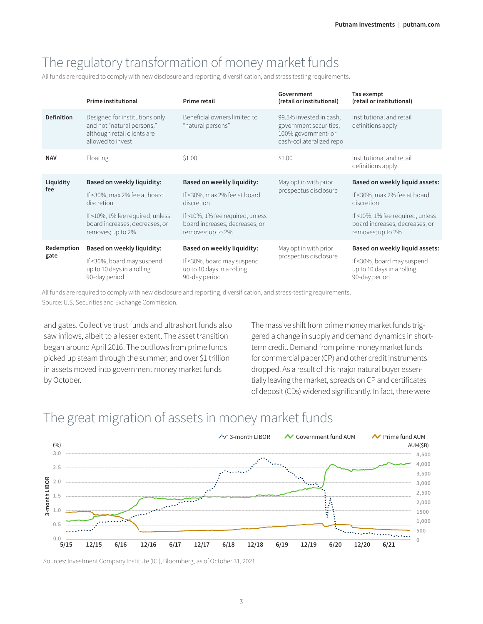## The regulatory transformation of money market funds

All funds are required to comply with new disclosure and reporting, diversification, and stress testing requirements.

|                    | Prime institutional                                                                                              | Prime retail                                                                            | Government<br>(retail or institutional)                                                              | Tax exempt<br>(retail or institutional)                                                 |
|--------------------|------------------------------------------------------------------------------------------------------------------|-----------------------------------------------------------------------------------------|------------------------------------------------------------------------------------------------------|-----------------------------------------------------------------------------------------|
| <b>Definition</b>  | Designed for institutions only<br>and not "natural persons,"<br>although retail clients are<br>allowed to invest | Beneficial owners limited to<br>"natural persons"                                       | 99.5% invested in cash,<br>government securities;<br>100% government- or<br>cash-collateralized repo | Institutional and retail<br>definitions apply                                           |
| <b>NAV</b>         | Floating                                                                                                         | \$1.00                                                                                  | \$1.00                                                                                               | Institutional and retail<br>definitions apply                                           |
| Liquidity<br>fee   | Based on weekly liquidity:                                                                                       | <b>Based on weekly liquidity:</b>                                                       | May opt in with prior<br>prospectus disclosure                                                       | <b>Based on weekly liquid assets:</b>                                                   |
|                    | If <30%, max 2% fee at board<br>discretion                                                                       | If <30%, max 2% fee at board<br>discretion                                              |                                                                                                      | If <30%, max 2% fee at board<br>discretion                                              |
|                    | If <10%, 1% fee required, unless<br>board increases, decreases, or<br>removes; up to 2%                          | If <10%, 1% fee required, unless<br>board increases, decreases, or<br>removes; up to 2% |                                                                                                      | If <10%, 1% fee required, unless<br>board increases, decreases, or<br>removes; up to 2% |
| Redemption<br>gate | Based on weekly liquidity:                                                                                       | Based on weekly liquidity:                                                              | May opt in with prior                                                                                | Based on weekly liquid assets:                                                          |
|                    | If <30%, board may suspend<br>up to 10 days in a rolling<br>90-day period                                        | If <30%, board may suspend<br>up to 10 days in a rolling<br>90-day period               | prospectus disclosure                                                                                | If <30%, board may suspend<br>up to 10 days in a rolling<br>90-day period               |

All funds are required to comply with new disclosure and reporting, diversification, and stress-testing requirements. Source: U.S. Securities and Exchange Commission.

and gates. Collective trust funds and ultrashort funds also saw inflows, albeit to a lesser extent. The asset transition began around April 2016. The outflows from prime funds picked up steam through the summer, and over \$1 trillion in assets moved into government money market funds by October.

The massive shift from prime money market funds triggered a change in supply and demand dynamics in shortterm credit. Demand from prime money market funds for commercial paper (CP) and other credit instruments dropped. As a result of this major natural buyer essentially leaving the market, spreads on CP and certificates of deposit (CDs) widened significantly. In fact, there were



### The great migration of assets in money market funds

Sources: Investment Company Institute (ICI), Bloomberg, as of October 31, 2021.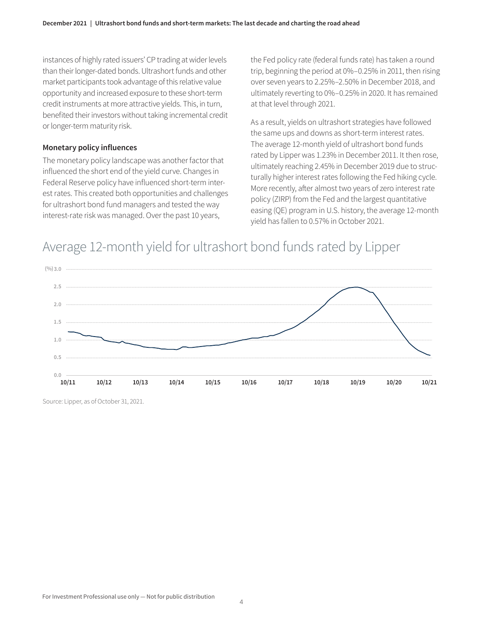instances of highly rated issuers' CP trading at wider levels than their longer-dated bonds. Ultrashort funds and other market participants took advantage of this relative value opportunity and increased exposure to these short-term credit instruments at more attractive yields. This, in turn, benefited their investors without taking incremental credit or longer-term maturity risk.

#### **Monetary policy influences**

The monetary policy landscape was another factor that influenced the short end of the yield curve. Changes in Federal Reserve policy have influenced short-term interest rates. This created both opportunities and challenges for ultrashort bond fund managers and tested the way interest-rate risk was managed. Over the past 10 years,

the Fed policy rate (federal funds rate) has taken a round trip, beginning the period at 0%–0.25% in 2011, then rising over seven years to 2.25%–2.50% in December 2018, and ultimately reverting to 0%–0.25% in 2020. It has remained at that level through 2021.

As a result, yields on ultrashort strategies have followed the same ups and downs as short-term interest rates. The average 12-month yield of ultrashort bond funds rated by Lipper was 1.23% in December 2011. It then rose, ultimately reaching 2.45% in December 2019 due to structurally higher interest rates following the Fed hiking cycle. More recently, after almost two years of zero interest rate policy (ZIRP) from the Fed and the largest quantitative easing (QE) program in U.S. history, the average 12-month yield has fallen to 0.57% in October 2021.

# Average 12-month yield for ultrashort bond funds rated by Lipper



Source: Lipper, as of October 31, 2021.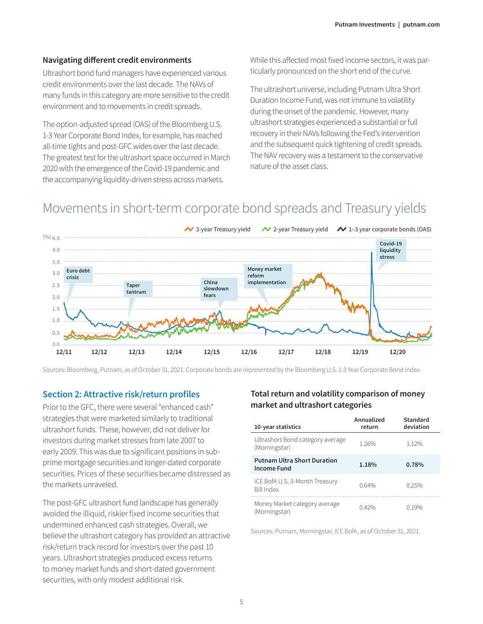#### **Navigating different credit environments**

Ultrashort bond fund managers have experienced various credit environments over the last decade. The NAVs of many funds in this category are more sensitive to the credit environment and to movements in credit spreads.

The option-adjusted spread (OAS) of the Bloomberg U.S. 1-3 Year Corporate Bond Index, for example, has reached all-time tights and post-GFC wides over the last decade. The greatest test for the ultrashort space occurred in March 2020 with the emergence of the Covid-19 pandemic and the accompanying liquidity-driven stress across markets.

While this affected most fixed income sectors, it was particularly pronounced on the short end of the curve.

The ultrashort universe, including Putnam Ultra Short Duration Income Fund, was not immune to volatility during the onset of the pandemic. However, many ultrashort strategies experienced a substantial or full recovery in their NAVs following the Fed's intervention and the subsequent quick tightening of credit spreads. The NAV recovery was a testament to the conservative nature of the asset class.

### Movements in short-term corporate bond spreads and Treasury yields



Sources: Bloomberg, Putnam, as of October 31, 2021. Corporate bonds are represented by the Bloomberg U.S. 1-3 Year Corporate Bond Index.

#### **Section 2: Attractive risk/return profiles**

Prior to the GFC, there were several "enhanced cash" strategies that were marketed similarly to traditional ultrashort funds. These, however, did not deliver for investors during market stresses from late 2007 to early 2009. This was due to significant positions in subprime mortgage securities and longer-dated corporate securities. Prices of these securities became distressed as the markets unraveled.

The post-GFC ultrashort fund landscape has generally avoided the illiquid, riskier fixed income securities that undermined enhanced cash strategies. Overall, we believe the ultrashort category has provided an attractive risk/return track record for investors over the past 10 years. Ultrashort strategies produced excess returns to money market funds and short-dated government securities, with only modest additional risk.

### **Total return and volatility comparison of money market and ultrashort categories**

| 10-year statistics                                  | Annualized<br>return | Standard<br>deviation |
|-----------------------------------------------------|----------------------|-----------------------|
| Ultrashort Bond category average<br>(Morningstar)   | 1 26%                | 1.12%                 |
| <b>Putnam Ultra Short Duration</b><br>Income Fund   | 1.18%                | 0.78%                 |
| ICE BofA U.S. 3-Month Treasury<br><b>Bill Index</b> | 0.64%                | 0.25%                 |
| Money Market category average<br>(Morningstar)      | 0.42%                | በ 19%                 |

Sources: Putnam, Morningstar, ICE BofA, as of October 31, 2021.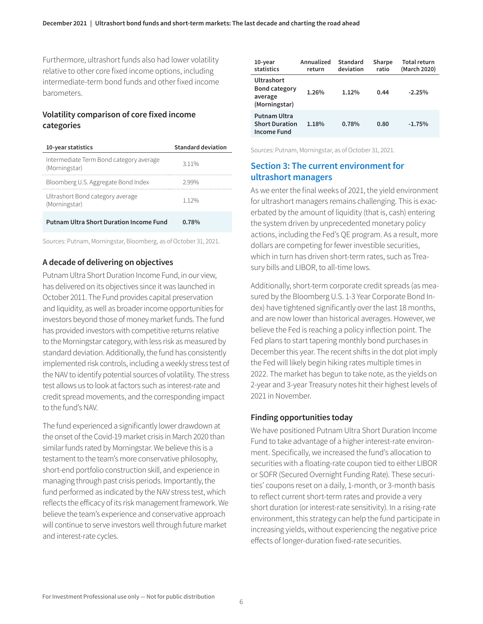Furthermore, ultrashort funds also had lower volatility relative to other core fixed income options, including intermediate-term bond funds and other fixed income barometers.

### **Volatility comparison of core fixed income categories**

| 10-year statistics                                       | <b>Standard deviation</b> |
|----------------------------------------------------------|---------------------------|
| Intermediate Term Bond category average<br>(Morningstar) | 311%                      |
| Bloomberg U.S. Aggregate Bond Index                      | 299%                      |
| Ultrashort Bond category average<br>(Morningstar)        | 1 1 2 %                   |
| <b>Putnam Ultra Short Duration Income Fund</b>           | 0.78%                     |

Sources: Putnam, Morningstar, Bloomberg, as of October 31, 2021.

### **A decade of delivering on objectives**

Putnam Ultra Short Duration Income Fund, in our view, has delivered on its objectives since it was launched in October 2011. The Fund provides capital preservation and liquidity, as well as broader income opportunities for investors beyond those of money market funds. The fund has provided investors with competitive returns relative to the Morningstar category, with less risk as measured by standard deviation. Additionally, the fund has consistently implemented risk controls, including a weekly stress test of the NAV to identify potential sources of volatility. The stress test allows us to look at factors such as interest-rate and credit spread movements, and the corresponding impact to the fund's NAV.

The fund experienced a significantly lower drawdown at the onset of the Covid-19 market crisis in March 2020 than similar funds rated by Morningstar. We believe this is a testament to the team's more conservative philosophy, short-end portfolio construction skill, and experience in managing through past crisis periods. Importantly, the fund performed as indicated by the NAV stress test, which reflects the efficacy of its risk management framework. We believe the team's experience and conservative approach will continue to serve investors well through future market and interest-rate cycles.

| $10$ -year<br>statistics                                       | Annualized<br>return | Standard<br>deviation | Sharpe<br>ratio | <b>Total return</b><br>(March 2020) |
|----------------------------------------------------------------|----------------------|-----------------------|-----------------|-------------------------------------|
| Ultrashort<br><b>Bond category</b><br>average<br>(Morningstar) | 1.26%                | 1.12%                 | 0.44            | $-2.25%$                            |
| Putnam Ultra<br><b>Short Duration</b><br>Income Fund           | 1.18%                | 0.78%                 | 0.80            | $-1.75%$                            |

Sources: Putnam, Morningstar, as of October 31, 2021.

### **Section 3: The current environment for ultrashort managers**

As we enter the final weeks of 2021, the yield environment for ultrashort managers remains challenging. This is exacerbated by the amount of liquidity (that is, cash) entering the system driven by unprecedented monetary policy actions, including the Fed's QE program. As a result, more dollars are competing for fewer investible securities, which in turn has driven short-term rates, such as Treasury bills and LIBOR, to all-time lows.

Additionally, short-term corporate credit spreads (as measured by the Bloomberg U.S. 1-3 Year Corporate Bond Index) have tightened significantly over the last 18 months, and are now lower than historical averages. However, we believe the Fed is reaching a policy inflection point. The Fed plans to start tapering monthly bond purchases in December this year. The recent shifts in the dot plot imply the Fed will likely begin hiking rates multiple times in 2022. The market has begun to take note, as the yields on 2-year and 3-year Treasury notes hit their highest levels of 2021 in November.

#### **Finding opportunities today**

We have positioned Putnam Ultra Short Duration Income Fund to take advantage of a higher interest-rate environment. Specifically, we increased the fund's allocation to securities with a floating-rate coupon tied to either LIBOR or SOFR (Secured Overnight Funding Rate). These securities' coupons reset on a daily, 1-month, or 3-month basis to reflect current short-term rates and provide a very short duration (or interest-rate sensitivity). In a rising-rate environment, this strategy can help the fund participate in increasing yields, without experiencing the negative price effects of longer-duration fixed-rate securities.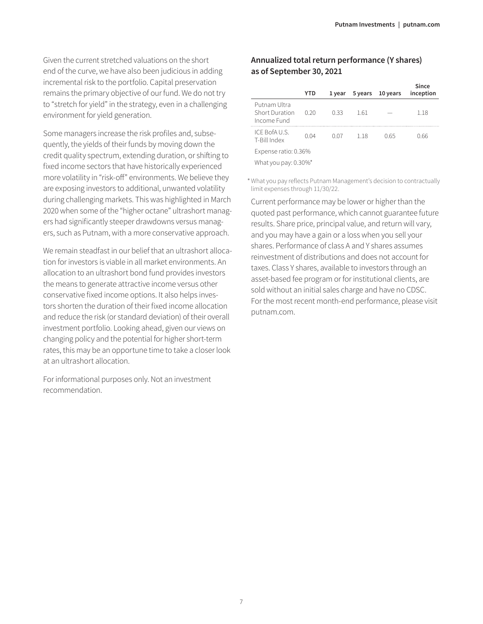Given the current stretched valuations on the short end of the curve, we have also been judicious in adding incremental risk to the portfolio. Capital preservation remains the primary objective of our fund. We do not try to "stretch for yield" in the strategy, even in a challenging environment for yield generation.

Some managers increase the risk profiles and, subsequently, the yields of their funds by moving down the credit quality spectrum, extending duration, or shifting to fixed income sectors that have historically experienced more volatility in "risk-off" environments. We believe they are exposing investors to additional, unwanted volatility during challenging markets. This was highlighted in March 2020 when some of the "higher octane" ultrashort managers had significantly steeper drawdowns versus managers, such as Putnam, with a more conservative approach.

We remain steadfast in our belief that an ultrashort allocation for investors is viable in all market environments. An allocation to an ultrashort bond fund provides investors the means to generate attractive income versus other conservative fixed income options. It also helps investors shorten the duration of their fixed income allocation and reduce the risk (or standard deviation) of their overall investment portfolio. Looking ahead, given our views on changing policy and the potential for higher short-term rates, this may be an opportune time to take a closer look at an ultrashort allocation.

For informational purposes only. Not an investment recommendation.

### **Annualized total return performance (Y shares) as of September 30, 2021**

|                                                      | YTD  | 1 year | 5 years | 10 years | Since<br>inception |
|------------------------------------------------------|------|--------|---------|----------|--------------------|
| Putnam Ultra<br><b>Short Duration</b><br>Income Fund | 0.20 | 0.33   | 1.61    |          | 1.18               |
| ICE BofAU.S.<br>T-Bill Index                         | 0.04 | 0.07   | 118     | O 65     | 0.66               |
| Expense ratio: 0.36%                                 |      |        |         |          |                    |
| What you pay: $0.30\%$ <sup>*</sup>                  |      |        |         |          |                    |

What you pay reflects Putnam Management's decision to contractually 1 limit expenses through 11/30/22.

Current performance may be lower or higher than the quoted past performance, which cannot guarantee future results. Share price, principal value, and return will vary, and you may have a gain or a loss when you sell your shares. Performance of class A and Y shares assumes reinvestment of distributions and does not account for taxes. Class Y shares, available to investors through an asset-based fee program or for institutional clients, are sold without an initial sales charge and have no CDSC. For the most recent month-end performance, please visit [putnam.com.](https://www.putnam.com?ref=TL500.pdf)